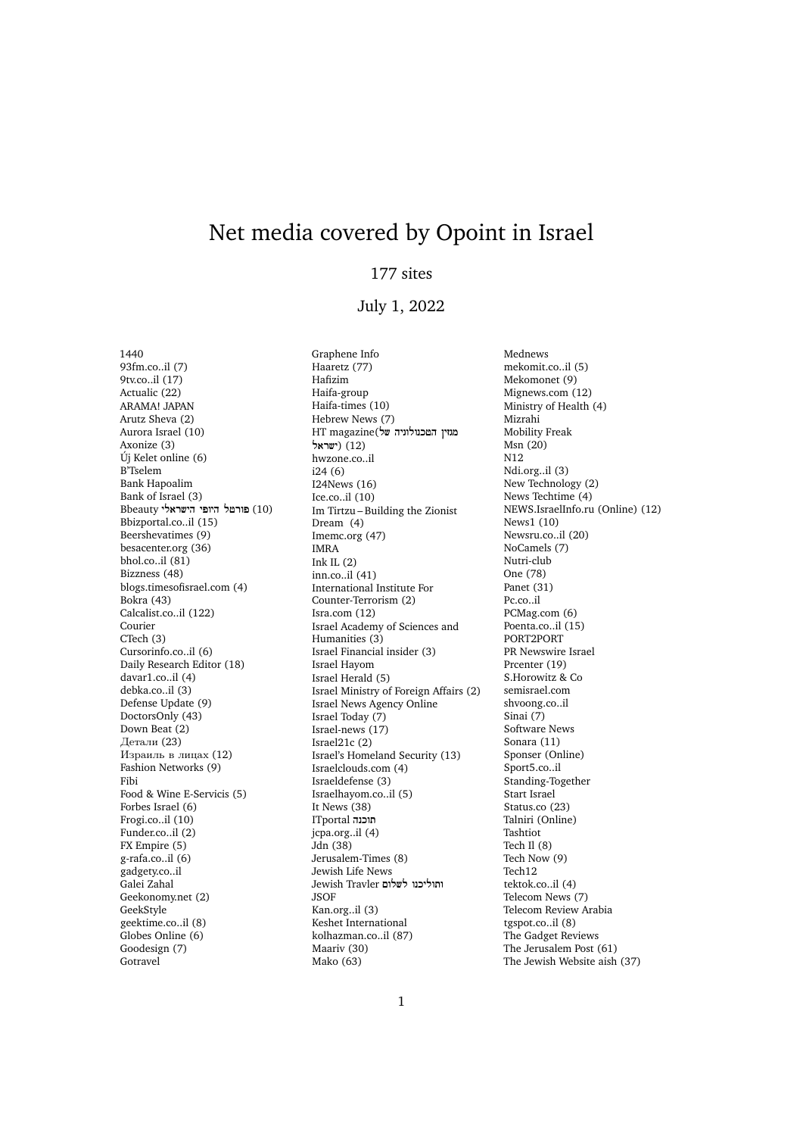## Net media covered by Opoint in Israel

## 177 sites

## July 1, 2022

1440 93fm.co..il (7) 9tv.co..il (17) Actualic (22) ARAMA! JAPAN Arutz Sheva (2) Aurora Israel (10) Axonize (3) Új Kelet online (6) B'Tselem Bank Hapoalim Bank of Israel (3) (10) פורטל היופי הישראלי! Bbeauty Bbizportal.co..il (15) Beershevatimes (9) besacenter.org (36) bhol.co..il (81) Bizzness (48) blogs.timesofisrael.com (4) Bokra (43) Calcalist.co..il (122) Courier CTech (3) Cursorinfo.co..il (6) Daily Research Editor (18) davar1.co..il (4) debka.co..il (3) Defense Update (9) DoctorsOnly (43) Down Beat (2) Детали (23) Израиль в лицах (12) Fashion Networks (9) Fibi Food & Wine E-Servicis (5) Forbes Israel (6) Frogi.co..il (10) Funder.co..il (2) FX Empire (5) g-rafa.co..il (6) gadgety.co..il Galei Zahal Geekonomy.net (2) GeekStyle geektime.co..il (8) Globes Online (6) Goodesign (7) **Gotravel** 

Graphene Info Haaretz (77) Hafizim Haifa-group Haifa-times (10) Hebrew News (7) מגזיN הטכנולוגיה של)magazine HT (12) (ישראל! hwzone.co..il i24 (6) I24News (16) Ice.co..il (10) Im Tirtzu – Building the Zionist Dream (4) Imemc.org (47) IMRA Ink IL $(2)$ inn.co..il (41) International Institute For Counter-Terrorism (2) Isra.com (12) Israel Academy of Sciences and Humanities (3) Israel Financial insider (3) Israel Hayom Israel Herald (5) Israel Ministry of Foreign Affairs (2) Israel News Agency Online Israel Today (7) Israel-news (17) Israel21c (2) Israel's Homeland Security (13) Israelclouds.com (4) Israeldefense (3) Israelhayom.co..il (5) It News (38) תוכנה! ITportal jcpa.org..il (4) Jdn (38) Jerusalem-Times (8) Jewish Life News Jewish Travler ותוליכנו לשלום JSOF Kan.org..il (3) Keshet International kolhazman.co..il (87) Maariv (30) Mako (63)

Mednews mekomit.co..il (5) Mekomonet (9) Mignews.com (12) Ministry of Health (4) Mizrahi Mobility Freak Msn (20) N12 Ndi.org..il (3) New Technology (2) News Techtime (4) NEWS.IsraelInfo.ru (Online) (12) News1 (10) Newsru.co..il (20) NoCamels (7) Nutri-club One (78) Panet (31) Pc.co..il PCMag.com (6) Poenta.co..il (15) PORT2PORT PR Newswire Israel Prcenter (19) S.Horowitz & Co semisrael.com shvoong.co..il Sinai (7) Software News Sonara (11) Sponser (Online) Sport5.co..il Standing-Together Start Israel Status.co (23) Talniri (Online) Tashtiot Tech Il (8) Tech Now (9) Tech12 tektok.co..il (4) Telecom News (7) Telecom Review Arabia tgspot.co..il (8) The Gadget Reviews The Jerusalem Post (61) The Jewish Website aish (37)